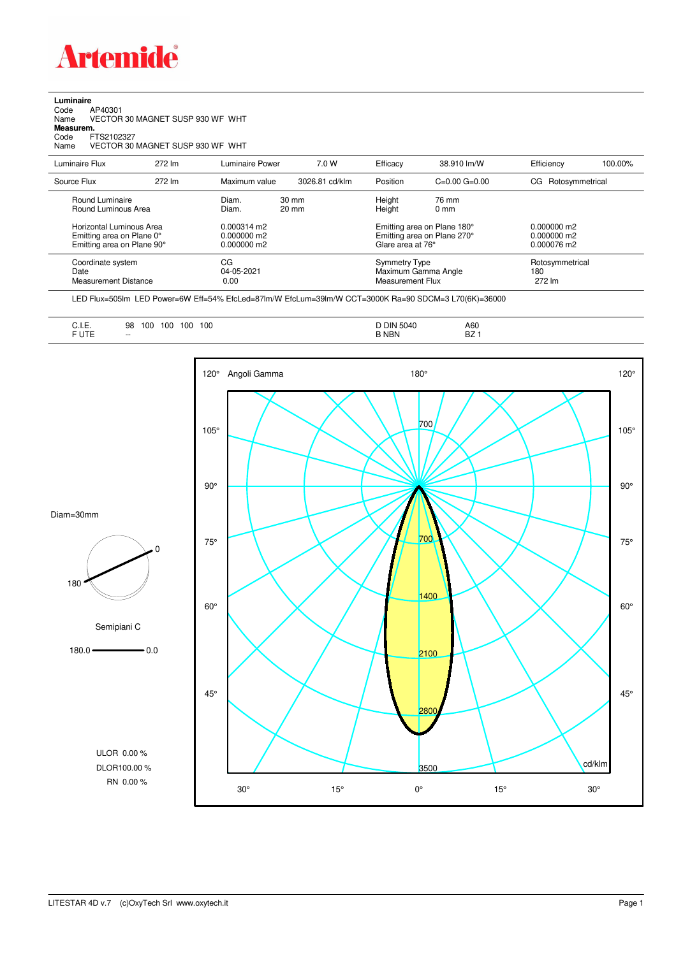

**Luminaire**<br>Code /<br>Name \ Code AP40301 Name VECTOR 30 MAGNET SUSP 930 WF WHT

**Measurem.**

Code FTS2102327 Name VECTOR 30 MAGNET SUSP 930 WF WHT

| Luminaire Flux                                                                                                                | 272 lm | Luminaire Power                                                          | 7.0 W                              | Efficacy                                 | 38.910 lm/W                                                                                                                    | Efficiency                       | 100.00% |
|-------------------------------------------------------------------------------------------------------------------------------|--------|--------------------------------------------------------------------------|------------------------------------|------------------------------------------|--------------------------------------------------------------------------------------------------------------------------------|----------------------------------|---------|
| Source Flux                                                                                                                   | 272 lm | Maximum value                                                            | 3026.81 cd/klm                     | Position                                 | $C=0.00$ $G=0.00$                                                                                                              | Rotosymmetrical<br>CG            |         |
| Round Luminaire<br>Round Luminous Area<br>Horizontal Luminous Area<br>Emitting area on Plane 0°<br>Emitting area on Plane 90° |        | Diam.<br>Diam.<br>$0.000314 \text{ m}$<br>$0.000000$ m2<br>$0.000000$ m2 | $30 \text{ mm}$<br>$20 \text{ mm}$ |                                          | Height<br>76 mm<br>Height<br>$0 \text{ mm}$<br>Emitting area on Plane 180°<br>Emitting area on Plane 270°<br>Glare area at 76° |                                  |         |
| Coordinate system<br>Date<br><b>Measurement Distance</b>                                                                      |        | CG<br>04-05-2021<br>0.00                                                 |                                    | <b>Symmetry Type</b><br>Measurement Flux | Maximum Gamma Angle                                                                                                            | Rotosymmetrical<br>180<br>272 lm |         |

LED Flux=505lm LED Power=6W Eff=54% EfcLed=87lm/W EfcLum=39lm/W CCT=3000K Ra=90 SDCM=3 L70(6K)=36000